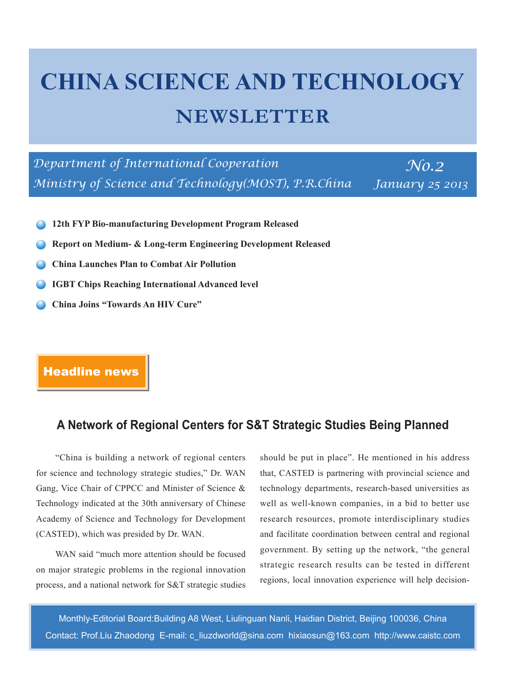# **CHINA SCIENCE AND TECHNOLOGY NEWSLETTER**

*Department of International Cooperation No.2 Ministry of Science and Technology(MOST), P.R.China* 

*January 25 2013*

- **12th FYP Bio-manufacturing Development Program Released**
- **Report on Medium- & Long-term Engineering Development Released**
- **China Launches Plan to Combat Air Pollution**
- **IGBT Chips Reaching International Advanced level**
- **China Joins "Towards An HIV Cure"**

## Headline news

#### **A Network of Regional Centers for S&T Strategic Studies Being Planned**

"China is building a network of regional centers for science and technology strategic studies," Dr. WAN Gang, Vice Chair of CPPCC and Minister of Science & Technology indicated at the 30th anniversary of Chinese Academy of Science and Technology for Development (CASTED), which was presided by Dr. WAN.

WAN said "much more attention should be focused on major strategic problems in the regional innovation process, and a national network for S&T strategic studies should be put in place". He mentioned in his address that, CASTED is partnering with provincial science and technology departments, research-based universities as well as well-known companies, in a bid to better use research resources, promote interdisciplinary studies and facilitate coordination between central and regional government. By setting up the network, "the general strategic research results can be tested in different regions, local innovation experience will help decision-

Monthly-Editorial Board:Building A8 West, Liulinguan Nanli, Haidian District, Beijing 100036, China Contact: Prof.Liu Zhaodong E-mail: c\_liuzdworld@sina.com hixiaosun@163.com http://www.caistc.com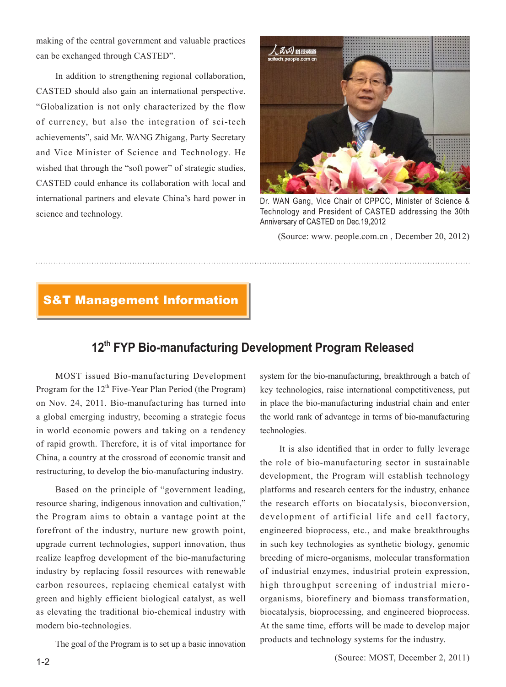making of the central government and valuable practices can be exchanged through CASTED".

In addition to strengthening regional collaboration, CASTED should also gain an international perspective. "Globalization is not only characterized by the flow of currency, but also the integration of sci-tech achievements", said Mr. WANG Zhigang, Party Secretary and Vice Minister of Science and Technology. He wished that through the "soft power" of strategic studies, CASTED could enhance its collaboration with local and international partners and elevate China's hard power in science and technology.



Dr. WAN Gang, Vice Chair of CPPCC, Minister of Science & Technology and President of CASTED addressing the 30th Anniversary of CASTED on Dec.19,2012

(Source: www. people.com.cn , December 20, 2012)

## S&T Management Information

# **12th FYP Bio-manufacturing Development Program Released**

MOST issued Bio-manufacturing Development Program for the  $12<sup>th</sup>$  Five-Year Plan Period (the Program) on Nov. 24, 2011. Bio-manufacturing has turned into a global emerging industry, becoming a strategic focus in world economic powers and taking on a tendency of rapid growth. Therefore, it is of vital importance for China, a country at the crossroad of economic transit and restructuring, to develop the bio-manufacturing industry.

Based on the principle of "government leading, resource sharing, indigenous innovation and cultivation," the Program aims to obtain a vantage point at the forefront of the industry, nurture new growth point, upgrade current technologies, support innovation, thus realize leapfrog development of the bio-manufacturing industry by replacing fossil resources with renewable carbon resources, replacing chemical catalyst with green and highly efficient biological catalyst, as well as elevating the traditional bio-chemical industry with modern bio-technologies.

The goal of the Program is to set up a basic innovation

system for the bio-manufacturing, breakthrough a batch of key technologies, raise international competitiveness, put in place the bio-manufacturing industrial chain and enter the world rank of advantege in terms of bio-manufacturing technologies.

It is also identified that in order to fully leverage the role of bio-manufacturing sector in sustainable development, the Program will establish technology platforms and research centers for the industry, enhance the research efforts on biocatalysis, bioconversion, development of artificial life and cell factory, engineered bioprocess, etc., and make breakthroughs in such key technologies as synthetic biology, genomic breeding of micro-organisms, molecular transformation of industrial enzymes, industrial protein expression, high throughput screening of industrial microorganisms, biorefinery and biomass transformation, biocatalysis, bioprocessing, and engineered bioprocess. At the same time, efforts will be made to develop major products and technology systems for the industry.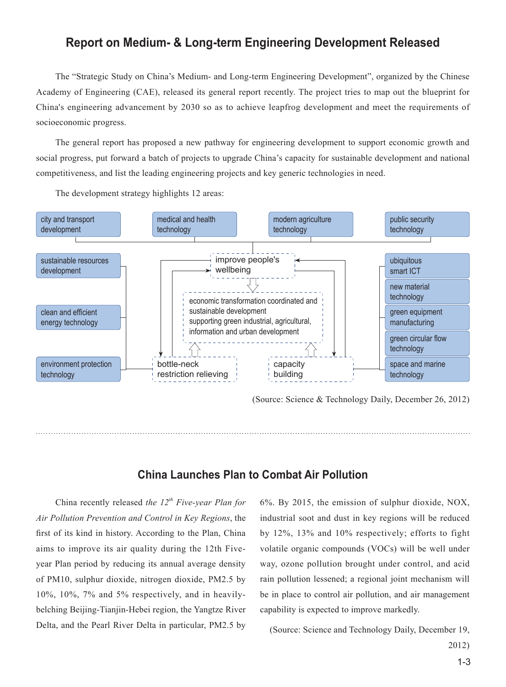### **Report on Medium- & Long-term Engineering Development Released**

The "Strategic Study on China's Medium- and Long-term Engineering Development", organized by the Chinese Academy of Engineering (CAE), released its general report recently. The project tries to map out the blueprint for China's engineering advancement by 2030 so as to achieve leapfrog development and meet the requirements of socioeconomic progress.

The general report has proposed a new pathway for engineering development to support economic growth and social progress, put forward a batch of projects to upgrade China's capacity for sustainable development and national competitiveness, and list the leading engineering projects and key generic technologies in need.



The development strategy highlights 12 areas:

(Source: Science & Technology Daily, December 26, 2012)

#### **China Launches Plan to Combat Air Pollution**

China recently released *the 12th Five-year Plan for Air Pollution Prevention and Control in Key Regions*, the first of its kind in history. According to the Plan, China aims to improve its air quality during the 12th Fiveyear Plan period by reducing its annual average density of PM10, sulphur dioxide, nitrogen dioxide, PM2.5 by 10%, 10%, 7% and 5% respectively, and in heavilybelching Beijing-Tianjin-Hebei region, the Yangtze River Delta, and the Pearl River Delta in particular, PM2.5 by

6%. By 2015, the emission of sulphur dioxide, NOX, industrial soot and dust in key regions will be reduced by 12%, 13% and 10% respectively; efforts to fight volatile organic compounds (VOCs) will be well under way, ozone pollution brought under control, and acid rain pollution lessened; a regional joint mechanism will be in place to control air pollution, and air management capability is expected to improve markedly.

(Source: Science and Technology Daily, December 19,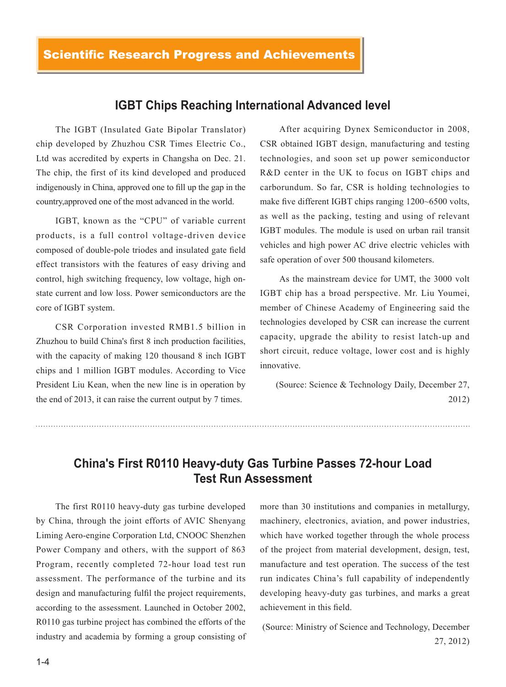#### **IGBT Chips Reaching International Advanced level**

The IGBT (Insulated Gate Bipolar Translator) chip developed by Zhuzhou CSR Times Electric Co., Ltd was accredited by experts in Changsha on Dec. 21. The chip, the first of its kind developed and produced indigenously in China, approved one to fill up the gap in the country,approved one of the most advanced in the world.

IGBT, known as the "CPU" of variable current products, is a full control voltage-driven device composed of double-pole triodes and insulated gate field effect transistors with the features of easy driving and control, high switching frequency, low voltage, high onstate current and low loss. Power semiconductors are the core of IGBT system.

CSR Corporation invested RMB1.5 billion in Zhuzhou to build China's first 8 inch production facilities, with the capacity of making 120 thousand 8 inch IGBT chips and 1 million IGBT modules. According to Vice President Liu Kean, when the new line is in operation by the end of 2013, it can raise the current output by 7 times.

After acquiring Dynex Semiconductor in 2008, CSR obtained IGBT design, manufacturing and testing technologies, and soon set up power semiconductor R&D center in the UK to focus on IGBT chips and carborundum. So far, CSR is holding technologies to make five different IGBT chips ranging 1200~6500 volts, as well as the packing, testing and using of relevant IGBT modules. The module is used on urban rail transit vehicles and high power AC drive electric vehicles with safe operation of over 500 thousand kilometers.

As the mainstream device for UMT, the 3000 volt IGBT chip has a broad perspective. Mr. Liu Youmei, member of Chinese Academy of Engineering said the technologies developed by CSR can increase the current capacity, upgrade the ability to resist latch-up and short circuit, reduce voltage, lower cost and is highly innovative.

(Source: Science & Technology Daily, December 27, 2012)

# **China's First R0110 Heavy-duty Gas Turbine Passes 72-hour Load Test Run Assessment**

The first R0110 heavy-duty gas turbine developed by China, through the joint efforts of AVIC Shenyang Liming Aero-engine Corporation Ltd, CNOOC Shenzhen Power Company and others, with the support of 863 Program, recently completed 72-hour load test run assessment. The performance of the turbine and its design and manufacturing fulfil the project requirements, according to the assessment. Launched in October 2002, R0110 gas turbine project has combined the efforts of the industry and academia by forming a group consisting of more than 30 institutions and companies in metallurgy, machinery, electronics, aviation, and power industries, which have worked together through the whole process of the project from material development, design, test, manufacture and test operation. The success of the test run indicates China's full capability of independently developing heavy-duty gas turbines, and marks a great achievement in this field.

(Source: Ministry of Science and Technology, December 27, 2012)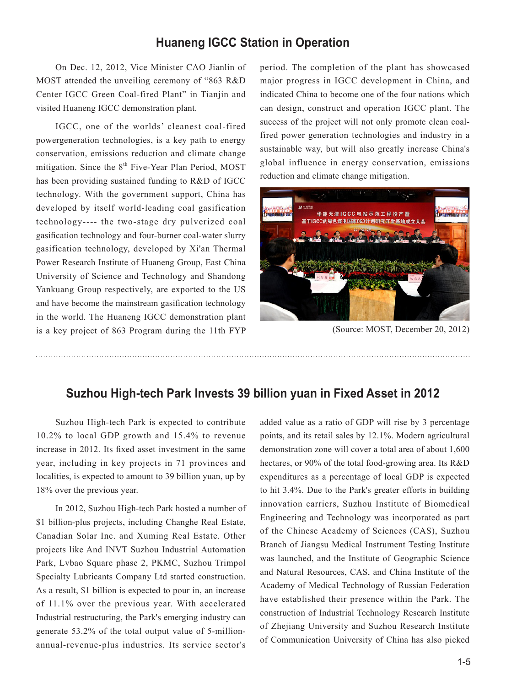### **Huaneng IGCC Station in Operation**

On Dec. 12, 2012, Vice Minister CAO Jianlin of MOST attended the unveiling ceremony of "863 R&D Center IGCC Green Coal-fired Plant" in Tianjin and visited Huaneng IGCC demonstration plant.

IGCC, one of the worlds' cleanest coal-fired powergeneration technologies, is a key path to energy conservation, emissions reduction and climate change mitigation. Since the  $8<sup>th</sup>$  Five-Year Plan Period, MOST has been providing sustained funding to R&D of IGCC technology. With the government support, China has developed by itself world-leading coal gasification technology---- the two-stage dry pulverized coal gasification technology and four-burner coal-water slurry gasification technology, developed by Xi'an Thermal Power Research Institute of Huaneng Group, East China University of Science and Technology and Shandong Yankuang Group respectively, are exported to the US and have become the mainstream gasification technology in the world. The Huaneng IGCC demonstration plant is a key project of 863 Program during the 11th FYP

period. The completion of the plant has showcased major progress in IGCC development in China, and indicated China to become one of the four nations which can design, construct and operation IGCC plant. The success of the project will not only promote clean coalfired power generation technologies and industry in a sustainable way, but will also greatly increase China's global influence in energy conservation, emissions reduction and climate change mitigation.



(Source: MOST, December 20, 2012)

### **Suzhou High-tech Park Invests 39 billion yuan in Fixed Asset in 2012**

Suzhou High-tech Park is expected to contribute 10.2% to local GDP growth and 15.4% to revenue increase in 2012. Its fixed asset investment in the same year, including in key projects in 71 provinces and localities, is expected to amount to 39 billion yuan, up by 18% over the previous year.

In 2012, Suzhou High-tech Park hosted a number of \$1 billion-plus projects, including Changhe Real Estate, Canadian Solar Inc. and Xuming Real Estate. Other projects like And INVT Suzhou Industrial Automation Park, Lvbao Square phase 2, PKMC, Suzhou Trimpol Specialty Lubricants Company Ltd started construction. As a result, \$1 billion is expected to pour in, an increase of 11.1% over the previous year. With accelerated Industrial restructuring, the Park's emerging industry can generate 53.2% of the total output value of 5-millionannual-revenue-plus industries. Its service sector's

added value as a ratio of GDP will rise by 3 percentage points, and its retail sales by 12.1%. Modern agricultural demonstration zone will cover a total area of about 1,600 hectares, or 90% of the total food-growing area. Its R&D expenditures as a percentage of local GDP is expected to hit 3.4%. Due to the Park's greater efforts in building innovation carriers, Suzhou Institute of Biomedical Engineering and Technology was incorporated as part of the Chinese Academy of Sciences (CAS), Suzhou Branch of Jiangsu Medical Instrument Testing Institute was launched, and the Institute of Geographic Science and Natural Resources, CAS, and China Institute of the Academy of Medical Technology of Russian Federation have established their presence within the Park. The construction of Industrial Technology Research Institute of Zhejiang University and Suzhou Research Institute of Communication University of China has also picked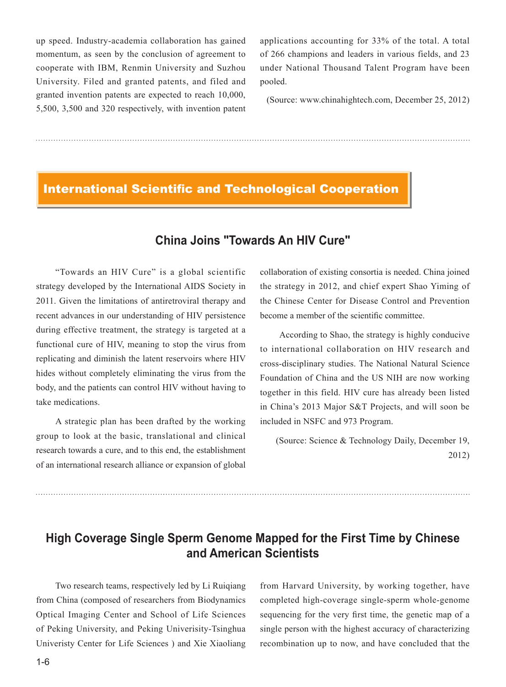up speed. Industry-academia collaboration has gained momentum, as seen by the conclusion of agreement to cooperate with IBM, Renmin University and Suzhou University. Filed and granted patents, and filed and granted invention patents are expected to reach 10,000, 5,500, 3,500 and 320 respectively, with invention patent applications accounting for 33% of the total. A total of 266 champions and leaders in various fields, and 23 under National Thousand Talent Program have been pooled.

(Source: www.chinahightech.com, December 25, 2012)

#### International Scientific and Technological Cooperation

# **China Joins "Towards An HIV Cure"**

"Towards an HIV Cure" is a global scientific strategy developed by the International AIDS Society in 2011. Given the limitations of antiretroviral therapy and recent advances in our understanding of HIV persistence during effective treatment, the strategy is targeted at a functional cure of HIV, meaning to stop the virus from replicating and diminish the latent reservoirs where HIV hides without completely eliminating the virus from the body, and the patients can control HIV without having to take medications.

A strategic plan has been drafted by the working group to look at the basic, translational and clinical research towards a cure, and to this end, the establishment of an international research alliance or expansion of global collaboration of existing consortia is needed. China joined the strategy in 2012, and chief expert Shao Yiming of the Chinese Center for Disease Control and Prevention become a member of the scientific committee.

According to Shao, the strategy is highly conducive to international collaboration on HIV research and cross-disciplinary studies. The National Natural Science Foundation of China and the US NIH are now working together in this field. HIV cure has already been listed in China's 2013 Major S&T Projects, and will soon be included in NSFC and 973 Program.

(Source: Science & Technology Daily, December 19, 2012)

# **High Coverage Single Sperm Genome Mapped for the First Time by Chinese and American Scientists**

Two research teams, respectively led by Li Ruiqiang from China (composed of researchers from Biodynamics Optical Imaging Center and School of Life Sciences of Peking University, and Peking Univerisity-Tsinghua Univeristy Center for Life Sciences ) and Xie Xiaoliang

from Harvard University, by working together, have completed high-coverage single-sperm whole-genome sequencing for the very first time, the genetic map of a single person with the highest accuracy of characterizing recombination up to now, and have concluded that the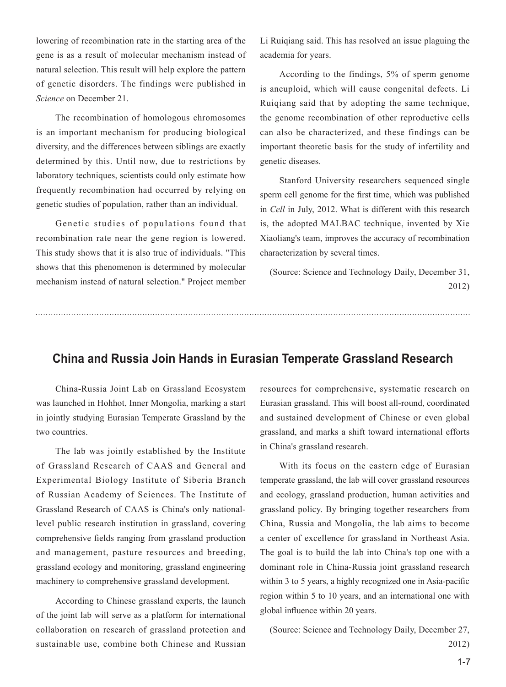lowering of recombination rate in the starting area of the gene is as a result of molecular mechanism instead of natural selection. This result will help explore the pattern of genetic disorders. The findings were published in *Science* on December 21.

The recombination of homologous chromosomes is an important mechanism for producing biological diversity, and the differences between siblings are exactly determined by this. Until now, due to restrictions by laboratory techniques, scientists could only estimate how frequently recombination had occurred by relying on genetic studies of population, rather than an individual.

Genetic studies of populations found that recombination rate near the gene region is lowered. This study shows that it is also true of individuals. "This shows that this phenomenon is determined by molecular mechanism instead of natural selection." Project member Li Ruiqiang said. This has resolved an issue plaguing the academia for years.

According to the findings, 5% of sperm genome is aneuploid, which will cause congenital defects. Li Ruiqiang said that by adopting the same technique, the genome recombination of other reproductive cells can also be characterized, and these findings can be important theoretic basis for the study of infertility and genetic diseases.

Stanford University researchers sequenced single sperm cell genome for the first time, which was published in *Cell* in July, 2012. What is different with this research is, the adopted MALBAC technique, invented by Xie Xiaoliang's team, improves the accuracy of recombination characterization by several times.

 (Source: Science and Technology Daily, December 31, 2012)

#### **China and Russia Join Hands in Eurasian Temperate Grassland Research**

China-Russia Joint Lab on Grassland Ecosystem was launched in Hohhot, Inner Mongolia, marking a start in jointly studying Eurasian Temperate Grassland by the two countries.

The lab was jointly established by the Institute of Grassland Research of CAAS and General and Experimental Biology Institute of Siberia Branch of Russian Academy of Sciences. The Institute of Grassland Research of CAAS is China's only nationallevel public research institution in grassland, covering comprehensive fields ranging from grassland production and management, pasture resources and breeding, grassland ecology and monitoring, grassland engineering machinery to comprehensive grassland development.

According to Chinese grassland experts, the launch of the joint lab will serve as a platform for international collaboration on research of grassland protection and sustainable use, combine both Chinese and Russian

resources for comprehensive, systematic research on Eurasian grassland. This will boost all-round, coordinated and sustained development of Chinese or even global grassland, and marks a shift toward international efforts in China's grassland research.

With its focus on the eastern edge of Eurasian temperate grassland, the lab will cover grassland resources and ecology, grassland production, human activities and grassland policy. By bringing together researchers from China, Russia and Mongolia, the lab aims to become a center of excellence for grassland in Northeast Asia. The goal is to build the lab into China's top one with a dominant role in China-Russia joint grassland research within 3 to 5 years, a highly recognized one in Asia-pacific region within 5 to 10 years, and an international one with global influence within 20 years.

 (Source: Science and Technology Daily, December 27, 2012)